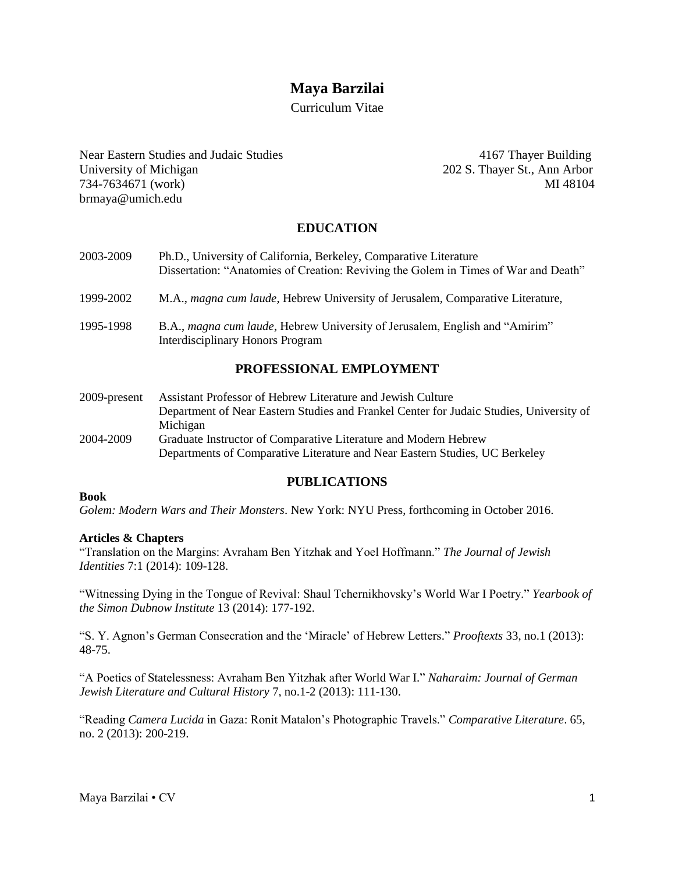# **Maya Barzilai**

Curriculum Vitae

Near Eastern Studies and Judaic Studies 4167 Thayer Building University of Michigan 202 S. Thayer St., Ann Arbor 734-7634671 (work) MI 48104 brmaya@umich.edu

## **EDUCATION**

- 2003-2009 Ph.D., University of California, Berkeley, Comparative Literature Dissertation: "Anatomies of Creation: Reviving the Golem in Times of War and Death"
- 1999-2002 M.A., *magna cum laude*, Hebrew University of Jerusalem*,* Comparative Literature,
- 1995-1998 B.A., *magna cum laude*, Hebrew University of Jerusalem, English and "Amirim" Interdisciplinary Honors Program

### **PROFESSIONAL EMPLOYMENT**

2009-present Assistant Professor of Hebrew Literature and Jewish Culture Department of Near Eastern Studies and Frankel Center for Judaic Studies, University of Michigan 2004-2009 Graduate Instructor of Comparative Literature and Modern Hebrew Departments of Comparative Literature and Near Eastern Studies, UC Berkeley

#### **PUBLICATIONS**

#### **Book**

*Golem: Modern Wars and Their Monsters*. New York: NYU Press, forthcoming in October 2016.

#### **Articles & Chapters**

"Translation on the Margins: Avraham Ben Yitzhak and Yoel Hoffmann." *The Journal of Jewish Identities* 7:1 (2014): 109-128.

"Witnessing Dying in the Tongue of Revival: Shaul Tchernikhovsky's World War I Poetry." *Yearbook of the Simon Dubnow Institute* 13 (2014): 177-192.

"S. Y. Agnon's German Consecration and the 'Miracle' of Hebrew Letters." *Prooftexts* 33, no.1 (2013): 48-75.

"A Poetics of Statelessness: Avraham Ben Yitzhak after World War I." *Naharaim: Journal of German Jewish Literature and Cultural History* 7, no.1-2 (2013): 111-130.

"Reading *Camera Lucida* in Gaza: Ronit Matalon's Photographic Travels." *Comparative Literature*. 65, no. 2 (2013): 200-219.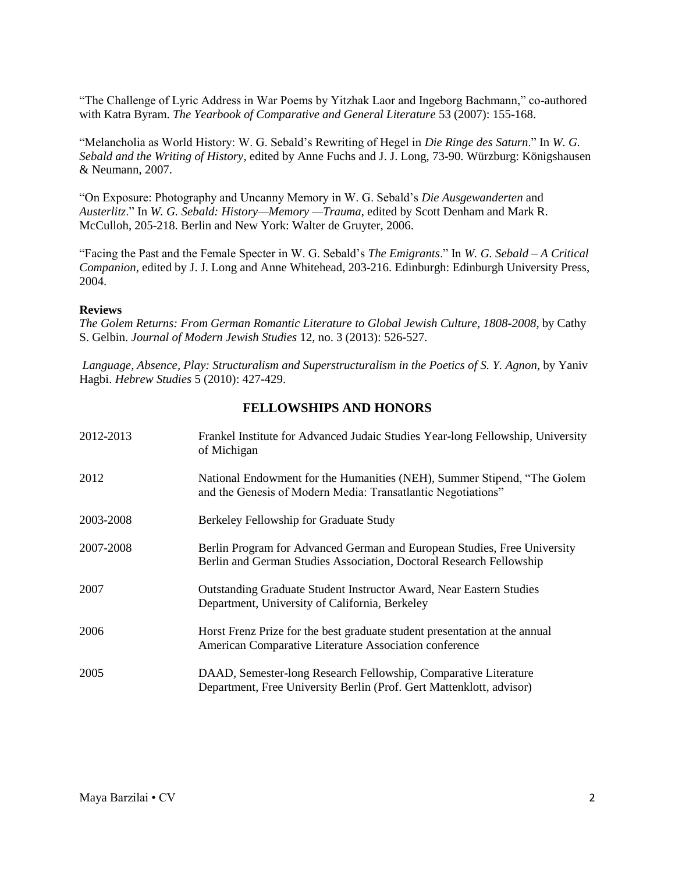"The Challenge of Lyric Address in War Poems by Yitzhak Laor and Ingeborg Bachmann," co-authored with Katra Byram. *The Yearbook of Comparative and General Literature* 53 (2007): 155-168.

"Melancholia as World History: W. G. Sebald's Rewriting of Hegel in *Die Ringe des Saturn*." In *W. G. Sebald and the Writing of History*, edited by Anne Fuchs and J. J. Long, 73-90. Würzburg: Königshausen & Neumann, 2007.

"On Exposure: Photography and Uncanny Memory in W. G. Sebald's *Die Ausgewanderten* and *Austerlitz*." In *W. G. Sebald: History—Memory —Trauma*, edited by Scott Denham and Mark R. McCulloh, 205-218. Berlin and New York: Walter de Gruyter, 2006.

"Facing the Past and the Female Specter in W. G. Sebald's *The Emigrants*." In *W. G. Sebald – A Critical Companion*, edited by J. J. Long and Anne Whitehead, 203-216. Edinburgh: Edinburgh University Press, 2004.

#### **Reviews**

*The Golem Returns: From German Romantic Literature to Global Jewish Culture, 1808-2008*, by Cathy S. Gelbin. *Journal of Modern Jewish Studies* 12, no. 3 (2013): 526-527.

*Language, Absence, Play: Structuralism and Superstructuralism in the Poetics of S. Y. Agnon*, by Yaniv Hagbi. *Hebrew Studies* 5 (2010): 427-429.

### **FELLOWSHIPS AND HONORS**

| 2012-2013 | Frankel Institute for Advanced Judaic Studies Year-long Fellowship, University<br>of Michigan                                                   |
|-----------|-------------------------------------------------------------------------------------------------------------------------------------------------|
| 2012      | National Endowment for the Humanities (NEH), Summer Stipend, "The Golem<br>and the Genesis of Modern Media: Transatlantic Negotiations"         |
| 2003-2008 | Berkeley Fellowship for Graduate Study                                                                                                          |
| 2007-2008 | Berlin Program for Advanced German and European Studies, Free University<br>Berlin and German Studies Association, Doctoral Research Fellowship |
| 2007      | <b>Outstanding Graduate Student Instructor Award, Near Eastern Studies</b><br>Department, University of California, Berkeley                    |
| 2006      | Horst Frenz Prize for the best graduate student presentation at the annual<br>American Comparative Literature Association conference            |
| 2005      | DAAD, Semester-long Research Fellowship, Comparative Literature<br>Department, Free University Berlin (Prof. Gert Mattenklott, advisor)         |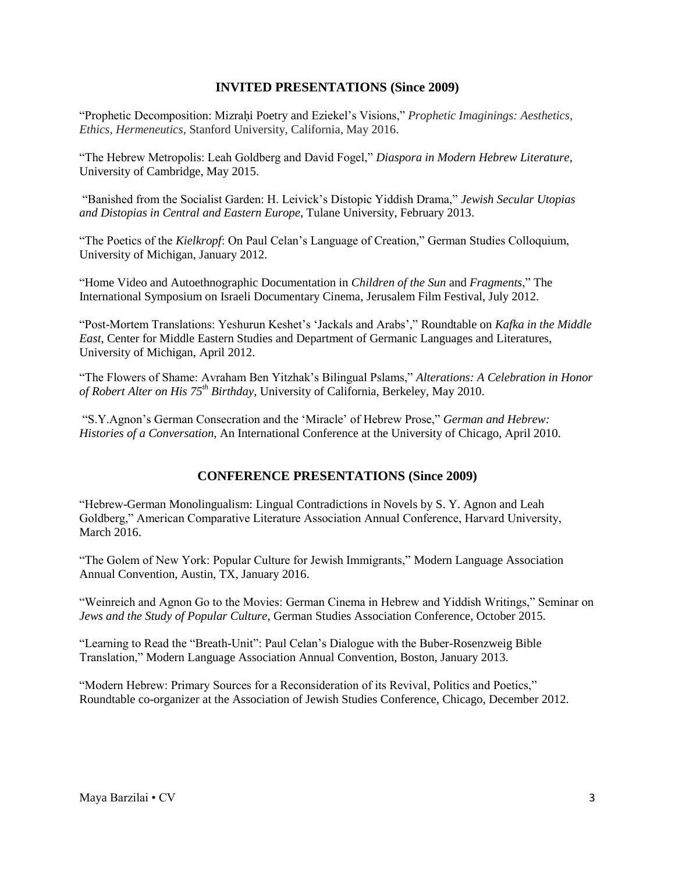### **INVITED PRESENTATIONS (Since 2009)**

"Prophetic Decomposition: Mizraḥi Poetry and Eziekel's Visions," *Prophetic Imaginings: Aesthetics, Ethics, Hermeneutics*, Stanford University, California, May 2016.

"The Hebrew Metropolis: Leah Goldberg and David Fogel," *Diaspora in Modern Hebrew Literature*, University of Cambridge, May 2015.

"Banished from the Socialist Garden: H. Leivick's Distopic Yiddish Drama," *Jewish Secular Utopias and Distopias in Central and Eastern Europe*, Tulane University, February 2013.

"The Poetics of the *Kielkropf*: On Paul Celan's Language of Creation," German Studies Colloquium, University of Michigan, January 2012.

"Home Video and Autoethnographic Documentation in *Children of the Sun* and *Fragments*," The International Symposium on Israeli Documentary Cinema, Jerusalem Film Festival, July 2012.

"Post-Mortem Translations: Yeshurun Keshet's 'Jackals and Arabs'," Roundtable on *Kafka in the Middle East*, Center for Middle Eastern Studies and Department of Germanic Languages and Literatures, University of Michigan, April 2012.

"The Flowers of Shame: Avraham Ben Yitzhak's Bilingual Pslams," *Alterations: A Celebration in Honor of Robert Alter on His 75th Birthday*, University of California, Berkeley, May 2010.

"S.Y.Agnon's German Consecration and the 'Miracle' of Hebrew Prose," *German and Hebrew: Histories of a Conversation*, An International Conference at the University of Chicago, April 2010.

### **CONFERENCE PRESENTATIONS (Since 2009)**

"Hebrew-German Monolingualism: Lingual Contradictions in Novels by S. Y. Agnon and Leah Goldberg," American Comparative Literature Association Annual Conference, Harvard University, March 2016.

"The Golem of New York: Popular Culture for Jewish Immigrants," Modern Language Association Annual Convention, Austin, TX, January 2016.

"Weinreich and Agnon Go to the Movies: German Cinema in Hebrew and Yiddish Writings," Seminar on *Jews and the Study of Popular Culture*, German Studies Association Conference, October 2015.

"Learning to Read the "Breath-Unit": Paul Celan's Dialogue with the Buber-Rosenzweig Bible Translation," Modern Language Association Annual Convention, Boston, January 2013.

"Modern Hebrew: Primary Sources for a Reconsideration of its Revival, Politics and Poetics," Roundtable co-organizer at the Association of Jewish Studies Conference, Chicago, December 2012.